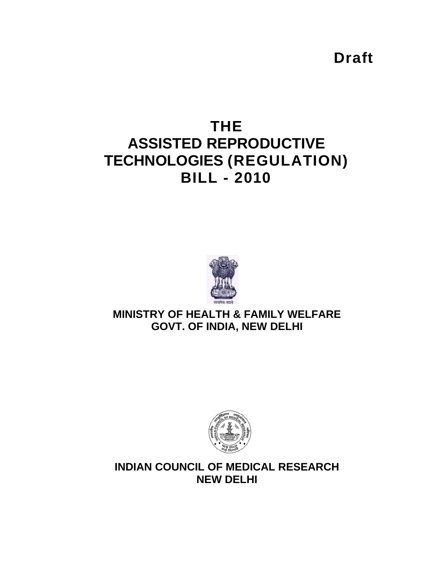**Draft** 

# **THE ASSISTED REPRODUCTIVE TECHNOLOGIES (REGULATION) BILL - 2010**



## **MINISTRY OF HEALTH & FAMILY WELFARE GOVT. OF INDIA, NEW DELHI**



## **INDIAN COUNCIL OF MEDICAL RESEARCH NEW DELHI**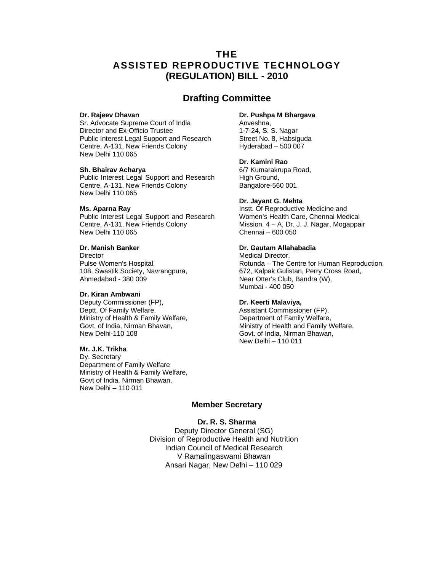### **THE ASSISTED REPRODUCTIVE TECHNOLOGY (REGULATION) BILL - 2010**

### **Drafting Committee**

#### **Dr. Rajeev Dhavan**

Sr. Advocate Supreme Court of India Director and Ex-Officio Trustee Public Interest Legal Support and Research Centre, A-131, New Friends Colony New Delhi 110 065

#### **Sh. Bhairav Acharya**

Public Interest Legal Support and Research Centre, A-131, New Friends Colony New Delhi 110 065

#### **Ms. Aparna Ray**

Public Interest Legal Support and Research Centre, A-131, New Friends Colony New Delhi 110 065

#### **Dr. Manish Banker**

**Director** Pulse Women's Hospital, 108, Swastik Society, Navrangpura, Ahmedabad - 380 009

#### **Dr. Kiran Ambwani**

Deputy Commissioner (FP), Deptt. Of Family Welfare, Ministry of Health & Family Welfare, Govt. of India, Nirman Bhavan, New Delhi-110 108

#### **Mr. J.K. Trikha**

Dy. Secretary Department of Family Welfare Ministry of Health & Family Welfare, Govt of India, Nirman Bhawan, New Delhi – 110 011

#### **Dr. Pushpa M Bhargava**

Anveshna, 1-7-24, S. S. Nagar Street No. 8, Habsiguda Hyderabad – 500 007

#### **Dr. Kamini Rao**

6/7 Kumarakrupa Road, High Ground, Bangalore-560 001

#### **Dr. Jayant G. Mehta**

Instt. Of Reproductive Medicine and Women's Health Care, Chennai Medical Mission, 4 – A, Dr. J. J. Nagar, Mogappair Chennai – 600 050

#### **Dr. Gautam Allahabadia**

Medical Director, Rotunda – The Centre for Human Reproduction, 672, Kalpak Gulistan, Perry Cross Road, Near Otter's Club, Bandra (W), Mumbai - 400 050

#### **Dr. Keerti Malaviya,**

Assistant Commissioner (FP), Department of Family Welfare, Ministry of Health and Family Welfare, Govt. of India, Nirman Bhawan, New Delhi – 110 011

#### **Member Secretary**

#### **Dr. R. S. Sharma**

Deputy Director General (SG) Division of Reproductive Health and Nutrition Indian Council of Medical Research V Ramalingaswami Bhawan Ansari Nagar, New Delhi – 110 029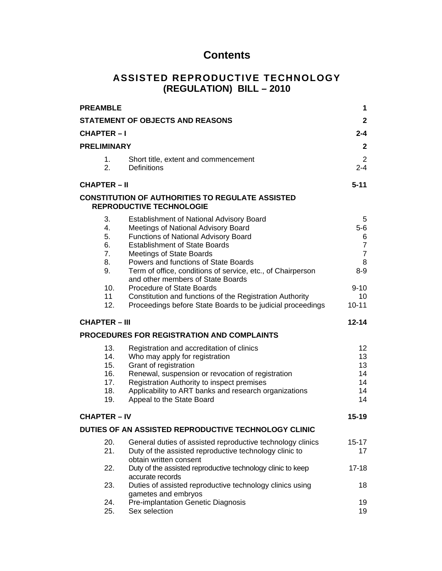## **Contents**

## **ASSISTED REPRODUCTIVE TECHNOLOGY (REGULATION) BILL – 2010**

| <b>PREAMBLE</b>                                            |                                                                                                                                                                                                                                                                                                                                                                                                                                                       | 1                                                                                                  |
|------------------------------------------------------------|-------------------------------------------------------------------------------------------------------------------------------------------------------------------------------------------------------------------------------------------------------------------------------------------------------------------------------------------------------------------------------------------------------------------------------------------------------|----------------------------------------------------------------------------------------------------|
|                                                            | <b>STATEMENT OF OBJECTS AND REASONS</b>                                                                                                                                                                                                                                                                                                                                                                                                               | $\mathbf{2}$                                                                                       |
| <b>CHAPTER-I</b>                                           |                                                                                                                                                                                                                                                                                                                                                                                                                                                       | 2-4                                                                                                |
| <b>PRELIMINARY</b>                                         |                                                                                                                                                                                                                                                                                                                                                                                                                                                       | $\mathbf{2}$                                                                                       |
| 1.<br>2.                                                   | Short title, extent and commencement<br><b>Definitions</b>                                                                                                                                                                                                                                                                                                                                                                                            | $\overline{2}$<br>$2 - 4$                                                                          |
| $CHAPTER - II$                                             |                                                                                                                                                                                                                                                                                                                                                                                                                                                       | $5 - 11$                                                                                           |
|                                                            | <b>CONSTITUTION OF AUTHORITIES TO REGULATE ASSISTED</b><br><b>REPRODUCTIVE TECHNOLOGIE</b>                                                                                                                                                                                                                                                                                                                                                            |                                                                                                    |
| 3.<br>4.<br>5.<br>6.<br>7.<br>8.<br>9.<br>10.<br>11<br>12. | <b>Establishment of National Advisory Board</b><br>Meetings of National Advisory Board<br>Functions of National Advisory Board<br><b>Establishment of State Boards</b><br><b>Meetings of State Boards</b><br>Powers and functions of State Boards<br>Term of office, conditions of service, etc., of Chairperson<br>and other members of State Boards<br><b>Procedure of State Boards</b><br>Constitution and functions of the Registration Authority | 5<br>$5-6$<br>6<br>$\overline{7}$<br>$\overline{7}$<br>8<br>$8 - 9$<br>$9 - 10$<br>10<br>$10 - 11$ |
|                                                            | Proceedings before State Boards to be judicial proceedings                                                                                                                                                                                                                                                                                                                                                                                            |                                                                                                    |
| <b>CHAPTER – III</b>                                       |                                                                                                                                                                                                                                                                                                                                                                                                                                                       | $12 - 14$                                                                                          |
|                                                            | <b>PROCEDURES FOR REGISTRATION AND COMPLAINTS</b>                                                                                                                                                                                                                                                                                                                                                                                                     |                                                                                                    |
| 13.<br>14.<br>15.<br>16.<br>17.<br>18.<br>19.              | Registration and accreditation of clinics<br>Who may apply for registration<br>Grant of registration<br>Renewal, suspension or revocation of registration<br>Registration Authority to inspect premises<br>Applicability to ART banks and research organizations<br>Appeal to the State Board                                                                                                                                                         | 12<br>13<br>13<br>14<br>14<br>14<br>14                                                             |
| <b>CHAPTER - IV</b>                                        |                                                                                                                                                                                                                                                                                                                                                                                                                                                       | $15 - 19$                                                                                          |
|                                                            | DUTIES OF AN ASSISTED REPRODUCTIVE TECHNOLOGY CLINIC                                                                                                                                                                                                                                                                                                                                                                                                  |                                                                                                    |
| 20.<br>21.                                                 | General duties of assisted reproductive technology clinics<br>Duty of the assisted reproductive technology clinic to<br>obtain written consent                                                                                                                                                                                                                                                                                                        | 15-17<br>17                                                                                        |
| 22.                                                        | Duty of the assisted reproductive technology clinic to keep<br>accurate records                                                                                                                                                                                                                                                                                                                                                                       | $17 - 18$                                                                                          |
| 23.                                                        | Duties of assisted reproductive technology clinics using<br>gametes and embryos                                                                                                                                                                                                                                                                                                                                                                       | 18                                                                                                 |
| 24.<br>25.                                                 | Pre-implantation Genetic Diagnosis<br>Sex selection                                                                                                                                                                                                                                                                                                                                                                                                   | 19<br>19                                                                                           |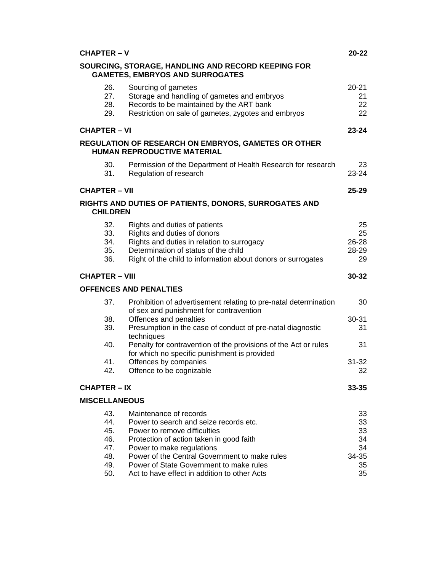| <b>CHAPTER - V</b>    |                                                                                                             | $20 - 22$ |
|-----------------------|-------------------------------------------------------------------------------------------------------------|-----------|
|                       | SOURCING, STORAGE, HANDLING AND RECORD KEEPING FOR<br><b>GAMETES, EMBRYOS AND SURROGATES</b>                |           |
| 26.                   | Sourcing of gametes                                                                                         | $20 - 21$ |
| 27.                   | Storage and handling of gametes and embryos                                                                 | 21        |
| 28.                   | Records to be maintained by the ART bank                                                                    | 22        |
| 29.                   | Restriction on sale of gametes, zygotes and embryos                                                         | 22        |
| <b>CHAPTER - VI</b>   |                                                                                                             | $23 - 24$ |
|                       | <b>REGULATION OF RESEARCH ON EMBRYOS, GAMETES OR OTHER</b><br><b>HUMAN REPRODUCTIVE MATERIAL</b>            |           |
| 30.                   | Permission of the Department of Health Research for research                                                | 23        |
| 31.                   | Regulation of research                                                                                      | 23-24     |
| <b>CHAPTER - VII</b>  |                                                                                                             | $25 - 29$ |
| <b>CHILDREN</b>       | RIGHTS AND DUTIES OF PATIENTS, DONORS, SURROGATES AND                                                       |           |
| 32.                   | Rights and duties of patients                                                                               | 25        |
| 33.                   | Rights and duties of donors                                                                                 | 25        |
| 34.                   | Rights and duties in relation to surrogacy                                                                  | 26-28     |
| 35.                   | Determination of status of the child                                                                        | 28-29     |
| 36.                   | Right of the child to information about donors or surrogates                                                | 29        |
| <b>CHAPTER - VIII</b> |                                                                                                             | 30-32     |
|                       | <b>OFFENCES AND PENALTIES</b>                                                                               |           |
| 37.                   | Prohibition of advertisement relating to pre-natal determination<br>of sex and punishment for contravention | 30        |
| 38.                   | Offences and penalties                                                                                      | 30-31     |
| 39.                   | Presumption in the case of conduct of pre-natal diagnostic<br>techniques                                    | 31        |
| 40.                   | Penalty for contravention of the provisions of the Act or rules                                             | 31        |
|                       | for which no specific punishment is provided                                                                |           |
| 41.                   | Offences by companies                                                                                       | $31 - 32$ |
| 42.                   | Offence to be cognizable                                                                                    | 32        |
| <b>CHAPTER - IX</b>   |                                                                                                             | 33-35     |
| <b>MISCELLANEOUS</b>  |                                                                                                             |           |
| 43.                   | Maintenance of records                                                                                      | 33        |
| 44.                   | Power to search and seize records etc.                                                                      | 33        |
|                       | Power to remove difficulties                                                                                | 33        |
| 45.                   |                                                                                                             |           |
| 46.                   | Protection of action taken in good faith                                                                    | 34        |
| 47.                   | Power to make regulations                                                                                   | 34        |
| 48.                   | Power of the Central Government to make rules                                                               | 34-35     |
| 49.                   | Power of State Government to make rules                                                                     | 35        |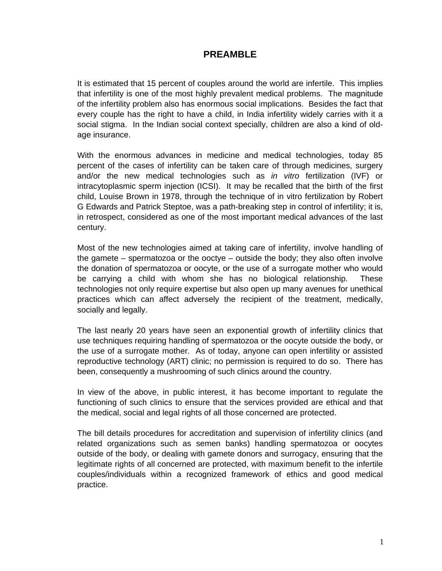## **PREAMBLE**

It is estimated that 15 percent of couples around the world are infertile. This implies that infertility is one of the most highly prevalent medical problems. The magnitude of the infertility problem also has enormous social implications. Besides the fact that every couple has the right to have a child, in India infertility widely carries with it a social stigma. In the Indian social context specially, children are also a kind of oldage insurance.

With the enormous advances in medicine and medical technologies, today 85 percent of the cases of infertility can be taken care of through medicines, surgery and/or the new medical technologies such as *in vitro* fertilization (IVF) or intracytoplasmic sperm injection (ICSI). It may be recalled that the birth of the first child, Louise Brown in 1978, through the technique of in vitro fertilization by Robert G Edwards and Patrick Steptoe, was a path-breaking step in control of infertility; it is, in retrospect, considered as one of the most important medical advances of the last century.

Most of the new technologies aimed at taking care of infertility, involve handling of the gamete – spermatozoa or the ooctye – outside the body; they also often involve the donation of spermatozoa or oocyte, or the use of a surrogate mother who would be carrying a child with whom she has no biological relationship. These technologies not only require expertise but also open up many avenues for unethical practices which can affect adversely the recipient of the treatment, medically, socially and legally.

The last nearly 20 years have seen an exponential growth of infertility clinics that use techniques requiring handling of spermatozoa or the oocyte outside the body, or the use of a surrogate mother. As of today, anyone can open infertility or assisted reproductive technology (ART) clinic; no permission is required to do so. There has been, consequently a mushrooming of such clinics around the country.

In view of the above, in public interest, it has become important to regulate the functioning of such clinics to ensure that the services provided are ethical and that the medical, social and legal rights of all those concerned are protected.

The bill details procedures for accreditation and supervision of infertility clinics (and related organizations such as semen banks) handling spermatozoa or oocytes outside of the body, or dealing with gamete donors and surrogacy, ensuring that the legitimate rights of all concerned are protected, with maximum benefit to the infertile couples/individuals within a recognized framework of ethics and good medical practice.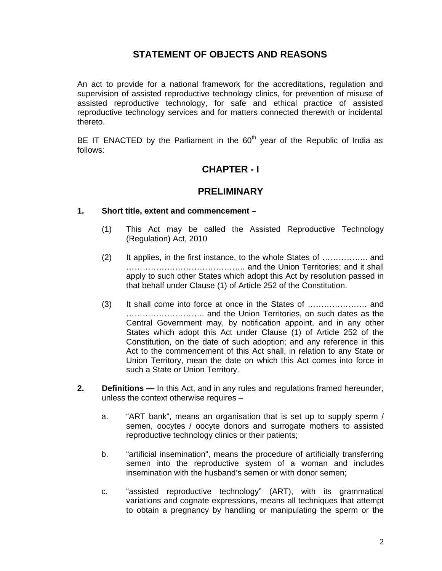## **STATEMENT OF OBJECTS AND REASONS**

An act to provide for a national framework for the accreditations, regulation and supervision of assisted reproductive technology clinics, for prevention of misuse of assisted reproductive technology, for safe and ethical practice of assisted reproductive technology services and for matters connected therewith or incidental thereto.

BE IT ENACTED by the Parliament in the  $60<sup>th</sup>$  year of the Republic of India as follows:

### **CHAPTER - I**

### **PRELIMINARY**

#### **1. Short title, extent and commencement –**

- (1) This Act may be called the Assisted Reproductive Technology (Regulation) Act, 2010
- (2) It applies, in the first instance, to the whole States of …………….. and …………………………………….. and the Union Territories; and it shall apply to such other States which adopt this Act by resolution passed in that behalf under Clause (1) of Article 252 of the Constitution.
- (3) It shall come into force at once in the States of …………………. and ……………………….. and the Union Territories, on such dates as the Central Government may, by notification appoint, and in any other States which adopt this Act under Clause (1) of Article 252 of the Constitution, on the date of such adoption; and any reference in this Act to the commencement of this Act shall, in relation to any State or Union Territory, mean the date on which this Act comes into force in such a State or Union Territory.
- **2. Definitions** In this Act, and in any rules and regulations framed hereunder, unless the context otherwise requires –
	- a. "ART bank", means an organisation that is set up to supply sperm / semen, oocytes / oocyte donors and surrogate mothers to assisted reproductive technology clinics or their patients;
	- b. "artificial insemination", means the procedure of artificially transferring semen into the reproductive system of a woman and includes insemination with the husband's semen or with donor semen;
	- c. "assisted reproductive technology" (ART), with its grammatical variations and cognate expressions, means all techniques that attempt to obtain a pregnancy by handling or manipulating the sperm or the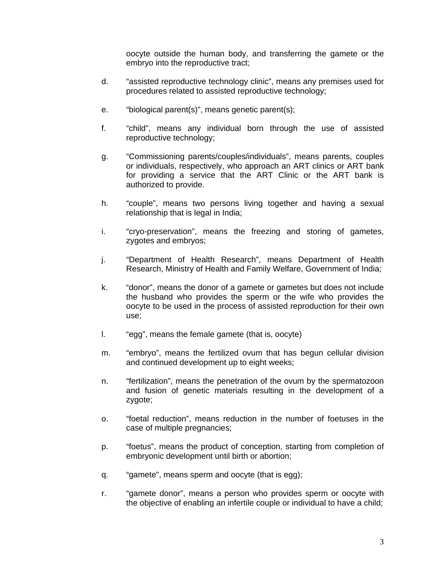oocyte outside the human body, and transferring the gamete or the embryo into the reproductive tract;

- d. "assisted reproductive technology clinic", means any premises used for procedures related to assisted reproductive technology;
- e. "biological parent(s)", means genetic parent(s);
- f. "child", means any individual born through the use of assisted reproductive technology;
- g. "Commissioning parents/couples/individuals", means parents, couples or individuals, respectively, who approach an ART clinics or ART bank for providing a service that the ART Clinic or the ART bank is authorized to provide.
- h. "couple", means two persons living together and having a sexual relationship that is legal in India;
- i. "cryo-preservation", means the freezing and storing of gametes, zygotes and embryos;
- j. "Department of Health Research", means Department of Health Research, Ministry of Health and Family Welfare, Government of India;
- k. "donor", means the donor of a gamete or gametes but does not include the husband who provides the sperm or the wife who provides the oocyte to be used in the process of assisted reproduction for their own use;
- l. "egg", means the female gamete (that is, oocyte)
- m. "embryo", means the fertilized ovum that has begun cellular division and continued development up to eight weeks;
- n. "fertilization", means the penetration of the ovum by the spermatozoon and fusion of genetic materials resulting in the development of a zygote;
- o. "foetal reduction", means reduction in the number of foetuses in the case of multiple pregnancies;
- p. "foetus", means the product of conception, starting from completion of embryonic development until birth or abortion;
- q. "gamete", means sperm and oocyte (that is egg);
- r. "gamete donor", means a person who provides sperm or oocyte with the objective of enabling an infertile couple or individual to have a child;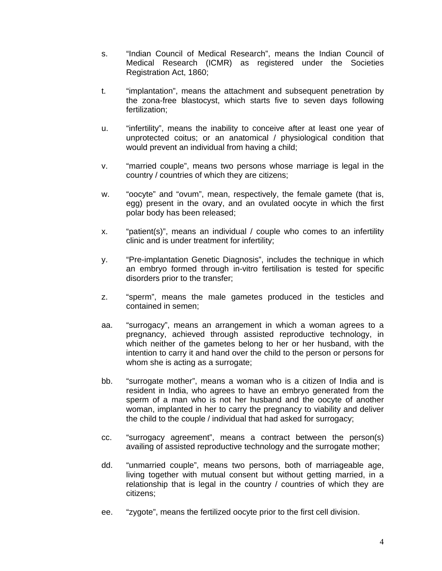- s. "Indian Council of Medical Research", means the Indian Council of Medical Research (ICMR) as registered under the Societies Registration Act, 1860;
- t. "implantation", means the attachment and subsequent penetration by the zona-free blastocyst, which starts five to seven days following fertilization;
- u. "infertility", means the inability to conceive after at least one year of unprotected coitus; or an anatomical / physiological condition that would prevent an individual from having a child;
- v. "married couple", means two persons whose marriage is legal in the country / countries of which they are citizens;
- w. "oocyte" and "ovum", mean, respectively, the female gamete (that is, egg) present in the ovary, and an ovulated oocyte in which the first polar body has been released;
- x. "patient(s)", means an individual / couple who comes to an infertility clinic and is under treatment for infertility;
- y. "Pre-implantation Genetic Diagnosis", includes the technique in which an embryo formed through in-vitro fertilisation is tested for specific disorders prior to the transfer;
- z. "sperm", means the male gametes produced in the testicles and contained in semen;
- aa. "surrogacy", means an arrangement in which a woman agrees to a pregnancy, achieved through assisted reproductive technology, in which neither of the gametes belong to her or her husband, with the intention to carry it and hand over the child to the person or persons for whom she is acting as a surrogate;
- bb. "surrogate mother", means a woman who is a citizen of India and is resident in India, who agrees to have an embryo generated from the sperm of a man who is not her husband and the oocyte of another woman, implanted in her to carry the pregnancy to viability and deliver the child to the couple / individual that had asked for surrogacy;
- cc. "surrogacy agreement", means a contract between the person(s) availing of assisted reproductive technology and the surrogate mother;
- dd. "unmarried couple", means two persons, both of marriageable age, living together with mutual consent but without getting married, in a relationship that is legal in the country / countries of which they are citizens;
- ee. "zygote", means the fertilized oocyte prior to the first cell division.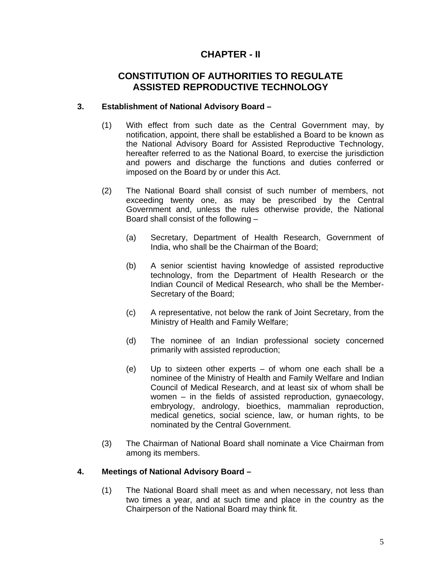## **CHAPTER - II**

### **CONSTITUTION OF AUTHORITIES TO REGULATE ASSISTED REPRODUCTIVE TECHNOLOGY**

### **3. Establishment of National Advisory Board –**

- (1) With effect from such date as the Central Government may, by notification, appoint, there shall be established a Board to be known as the National Advisory Board for Assisted Reproductive Technology, hereafter referred to as the National Board, to exercise the jurisdiction and powers and discharge the functions and duties conferred or imposed on the Board by or under this Act.
- (2) The National Board shall consist of such number of members, not exceeding twenty one, as may be prescribed by the Central Government and, unless the rules otherwise provide, the National Board shall consist of the following –
	- (a) Secretary, Department of Health Research, Government of India, who shall be the Chairman of the Board;
	- (b) A senior scientist having knowledge of assisted reproductive technology, from the Department of Health Research or the Indian Council of Medical Research, who shall be the Member-Secretary of the Board;
	- (c) A representative, not below the rank of Joint Secretary, from the Ministry of Health and Family Welfare;
	- (d) The nominee of an Indian professional society concerned primarily with assisted reproduction;
	- (e) Up to sixteen other experts of whom one each shall be a nominee of the Ministry of Health and Family Welfare and Indian Council of Medical Research, and at least six of whom shall be women – in the fields of assisted reproduction, gynaecology, embryology, andrology, bioethics, mammalian reproduction, medical genetics, social science, law, or human rights, to be nominated by the Central Government.
- (3) The Chairman of National Board shall nominate a Vice Chairman from among its members.

### **4. Meetings of National Advisory Board –**

(1) The National Board shall meet as and when necessary, not less than two times a year, and at such time and place in the country as the Chairperson of the National Board may think fit.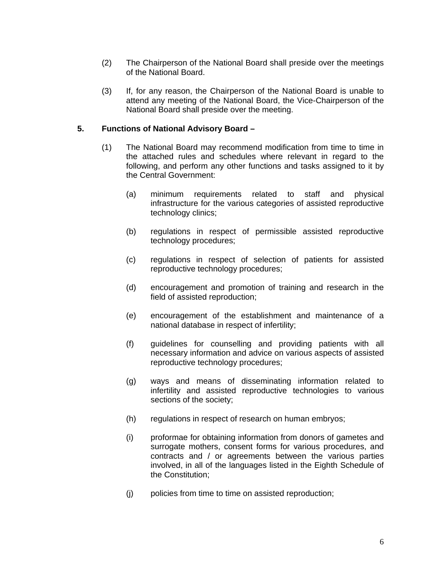- (2) The Chairperson of the National Board shall preside over the meetings of the National Board.
- (3) If, for any reason, the Chairperson of the National Board is unable to attend any meeting of the National Board, the Vice-Chairperson of the National Board shall preside over the meeting.

#### **5. Functions of National Advisory Board –**

- (1) The National Board may recommend modification from time to time in the attached rules and schedules where relevant in regard to the following, and perform any other functions and tasks assigned to it by the Central Government:
	- (a) minimum requirements related to staff and physical infrastructure for the various categories of assisted reproductive technology clinics;
	- (b) regulations in respect of permissible assisted reproductive technology procedures;
	- (c) regulations in respect of selection of patients for assisted reproductive technology procedures;
	- (d) encouragement and promotion of training and research in the field of assisted reproduction;
	- (e) encouragement of the establishment and maintenance of a national database in respect of infertility;
	- (f) guidelines for counselling and providing patients with all necessary information and advice on various aspects of assisted reproductive technology procedures;
	- (g) ways and means of disseminating information related to infertility and assisted reproductive technologies to various sections of the society;
	- (h) regulations in respect of research on human embryos;
	- (i) proformae for obtaining information from donors of gametes and surrogate mothers, consent forms for various procedures, and contracts and / or agreements between the various parties involved, in all of the languages listed in the Eighth Schedule of the Constitution;
	- (j) policies from time to time on assisted reproduction;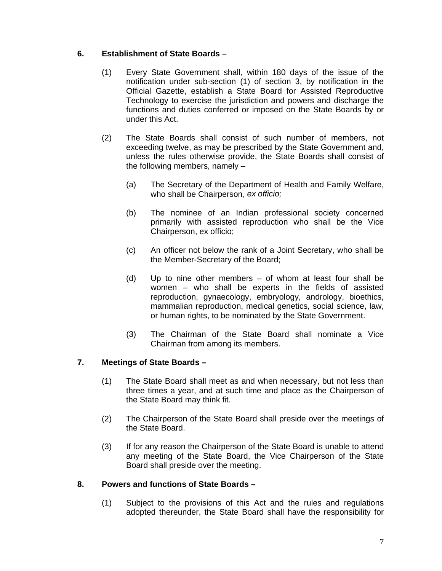### **6. Establishment of State Boards –**

- (1) Every State Government shall, within 180 days of the issue of the notification under sub-section (1) of section 3, by notification in the Official Gazette, establish a State Board for Assisted Reproductive Technology to exercise the jurisdiction and powers and discharge the functions and duties conferred or imposed on the State Boards by or under this Act.
- (2) The State Boards shall consist of such number of members, not exceeding twelve, as may be prescribed by the State Government and, unless the rules otherwise provide, the State Boards shall consist of the following members, namely –
	- (a) The Secretary of the Department of Health and Family Welfare, who shall be Chairperson, *ex officio;*
	- (b) The nominee of an Indian professional society concerned primarily with assisted reproduction who shall be the Vice Chairperson, ex officio;
	- (c) An officer not below the rank of a Joint Secretary, who shall be the Member-Secretary of the Board;
	- (d) Up to nine other members of whom at least four shall be women – who shall be experts in the fields of assisted reproduction, gynaecology, embryology, andrology, bioethics, mammalian reproduction, medical genetics, social science, law, or human rights, to be nominated by the State Government.
	- (3) The Chairman of the State Board shall nominate a Vice Chairman from among its members.

### **7. Meetings of State Boards –**

- (1) The State Board shall meet as and when necessary, but not less than three times a year, and at such time and place as the Chairperson of the State Board may think fit.
- (2) The Chairperson of the State Board shall preside over the meetings of the State Board.
- (3) If for any reason the Chairperson of the State Board is unable to attend any meeting of the State Board, the Vice Chairperson of the State Board shall preside over the meeting.

#### **8. Powers and functions of State Boards –**

(1) Subject to the provisions of this Act and the rules and regulations adopted thereunder, the State Board shall have the responsibility for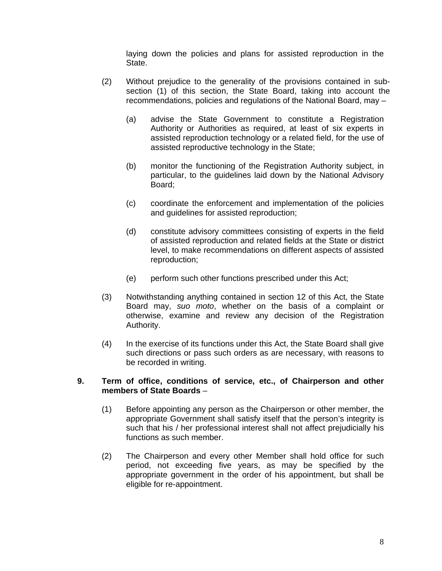laying down the policies and plans for assisted reproduction in the State.

- (2) Without prejudice to the generality of the provisions contained in subsection (1) of this section, the State Board, taking into account the recommendations, policies and regulations of the National Board, may –
	- (a) advise the State Government to constitute a Registration Authority or Authorities as required, at least of six experts in assisted reproduction technology or a related field, for the use of assisted reproductive technology in the State;
	- (b) monitor the functioning of the Registration Authority subject, in particular, to the guidelines laid down by the National Advisory Board;
	- (c) coordinate the enforcement and implementation of the policies and guidelines for assisted reproduction;
	- (d) constitute advisory committees consisting of experts in the field of assisted reproduction and related fields at the State or district level, to make recommendations on different aspects of assisted reproduction;
	- (e) perform such other functions prescribed under this Act;
- (3) Notwithstanding anything contained in section 12 of this Act, the State Board may, *suo moto*, whether on the basis of a complaint or otherwise, examine and review any decision of the Registration Authority.
- (4) In the exercise of its functions under this Act, the State Board shall give such directions or pass such orders as are necessary, with reasons to be recorded in writing.

#### **9. Term of office, conditions of service, etc., of Chairperson and other members of State Boards** –

- (1) Before appointing any person as the Chairperson or other member, the appropriate Government shall satisfy itself that the person's integrity is such that his / her professional interest shall not affect prejudicially his functions as such member.
- (2) The Chairperson and every other Member shall hold office for such period, not exceeding five years, as may be specified by the appropriate government in the order of his appointment, but shall be eligible for re-appointment.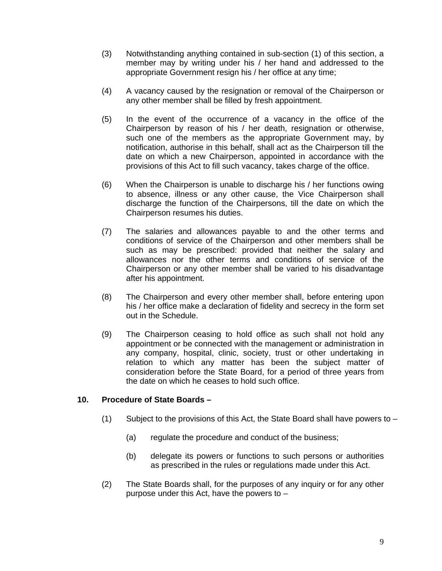- (3) Notwithstanding anything contained in sub-section (1) of this section, a member may by writing under his / her hand and addressed to the appropriate Government resign his / her office at any time;
- (4) A vacancy caused by the resignation or removal of the Chairperson or any other member shall be filled by fresh appointment.
- (5) In the event of the occurrence of a vacancy in the office of the Chairperson by reason of his / her death, resignation or otherwise, such one of the members as the appropriate Government may, by notification, authorise in this behalf, shall act as the Chairperson till the date on which a new Chairperson, appointed in accordance with the provisions of this Act to fill such vacancy, takes charge of the office.
- (6) When the Chairperson is unable to discharge his / her functions owing to absence, illness or any other cause, the Vice Chairperson shall discharge the function of the Chairpersons, till the date on which the Chairperson resumes his duties.
- (7) The salaries and allowances payable to and the other terms and conditions of service of the Chairperson and other members shall be such as may be prescribed: provided that neither the salary and allowances nor the other terms and conditions of service of the Chairperson or any other member shall be varied to his disadvantage after his appointment.
- (8) The Chairperson and every other member shall, before entering upon his / her office make a declaration of fidelity and secrecy in the form set out in the Schedule.
- (9) The Chairperson ceasing to hold office as such shall not hold any appointment or be connected with the management or administration in any company, hospital, clinic, society, trust or other undertaking in relation to which any matter has been the subject matter of consideration before the State Board, for a period of three years from the date on which he ceases to hold such office.

#### **10. Procedure of State Boards –**

- (1) Subject to the provisions of this Act, the State Board shall have powers to  $-$ 
	- (a) regulate the procedure and conduct of the business;
	- (b) delegate its powers or functions to such persons or authorities as prescribed in the rules or regulations made under this Act.
- (2) The State Boards shall, for the purposes of any inquiry or for any other purpose under this Act, have the powers to –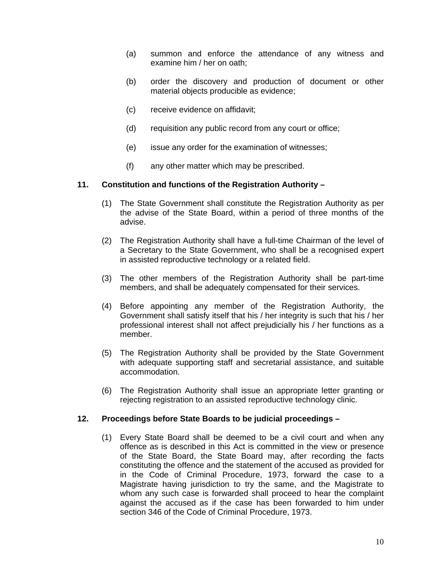- (a) summon and enforce the attendance of any witness and examine him / her on oath;
- (b) order the discovery and production of document or other material objects producible as evidence;
- (c) receive evidence on affidavit;
- (d) requisition any public record from any court or office;
- (e) issue any order for the examination of witnesses;
- (f) any other matter which may be prescribed.

#### **11. Constitution and functions of the Registration Authority –**

- (1) The State Government shall constitute the Registration Authority as per the advise of the State Board, within a period of three months of the advise.
- (2) The Registration Authority shall have a full-time Chairman of the level of a Secretary to the State Government, who shall be a recognised expert in assisted reproductive technology or a related field.
- (3) The other members of the Registration Authority shall be part-time members, and shall be adequately compensated for their services.
- (4) Before appointing any member of the Registration Authority, the Government shall satisfy itself that his / her integrity is such that his / her professional interest shall not affect prejudicially his / her functions as a member.
- (5) The Registration Authority shall be provided by the State Government with adequate supporting staff and secretarial assistance, and suitable accommodation.
- (6) The Registration Authority shall issue an appropriate letter granting or rejecting registration to an assisted reproductive technology clinic.

#### **12. Proceedings before State Boards to be judicial proceedings –**

(1) Every State Board shall be deemed to be a civil court and when any offence as is described in this Act is committed in the view or presence of the State Board, the State Board may, after recording the facts constituting the offence and the statement of the accused as provided for in the Code of Criminal Procedure, 1973, forward the case to a Magistrate having jurisdiction to try the same, and the Magistrate to whom any such case is forwarded shall proceed to hear the complaint against the accused as if the case has been forwarded to him under section 346 of the Code of Criminal Procedure, 1973.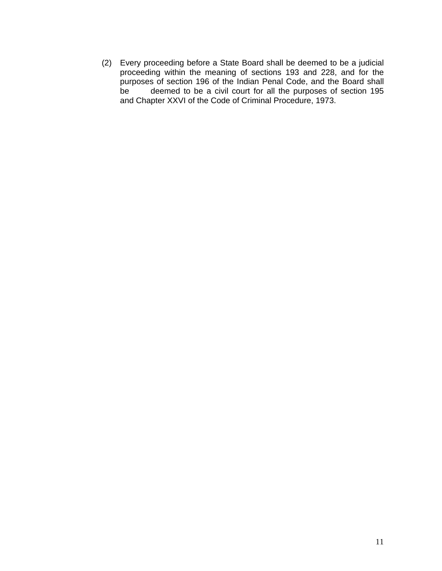(2) Every proceeding before a State Board shall be deemed to be a judicial proceeding within the meaning of sections 193 and 228, and for the purposes of section 196 of the Indian Penal Code, and the Board shall be deemed to be a civil court for all the purposes of section 195 and Chapter XXVI of the Code of Criminal Procedure, 1973.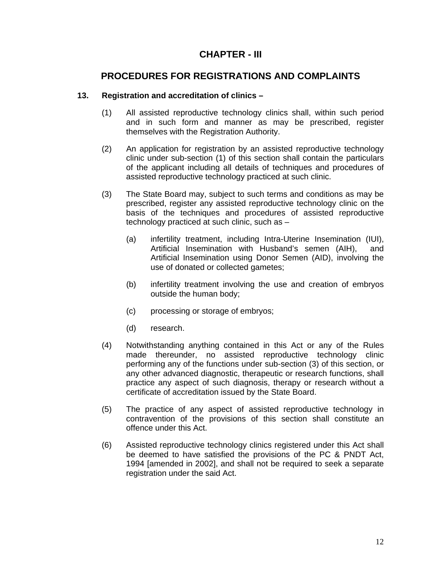## **CHAPTER - III**

### **PROCEDURES FOR REGISTRATIONS AND COMPLAINTS**

### **13. Registration and accreditation of clinics –**

- (1) All assisted reproductive technology clinics shall, within such period and in such form and manner as may be prescribed, register themselves with the Registration Authority.
- (2) An application for registration by an assisted reproductive technology clinic under sub-section (1) of this section shall contain the particulars of the applicant including all details of techniques and procedures of assisted reproductive technology practiced at such clinic.
- (3) The State Board may, subject to such terms and conditions as may be prescribed, register any assisted reproductive technology clinic on the basis of the techniques and procedures of assisted reproductive technology practiced at such clinic, such as –
	- (a) infertility treatment, including Intra-Uterine Insemination (IUI), Artificial Insemination with Husband's semen (AIH), and Artificial Insemination using Donor Semen (AID), involving the use of donated or collected gametes;
	- (b) infertility treatment involving the use and creation of embryos outside the human body;
	- (c) processing or storage of embryos;
	- (d) research.
- (4) Notwithstanding anything contained in this Act or any of the Rules made thereunder, no assisted reproductive technology clinic performing any of the functions under sub-section (3) of this section, or any other advanced diagnostic, therapeutic or research functions, shall practice any aspect of such diagnosis, therapy or research without a certificate of accreditation issued by the State Board.
- (5) The practice of any aspect of assisted reproductive technology in contravention of the provisions of this section shall constitute an offence under this Act.
- (6) Assisted reproductive technology clinics registered under this Act shall be deemed to have satisfied the provisions of the PC & PNDT Act, 1994 [amended in 2002], and shall not be required to seek a separate registration under the said Act.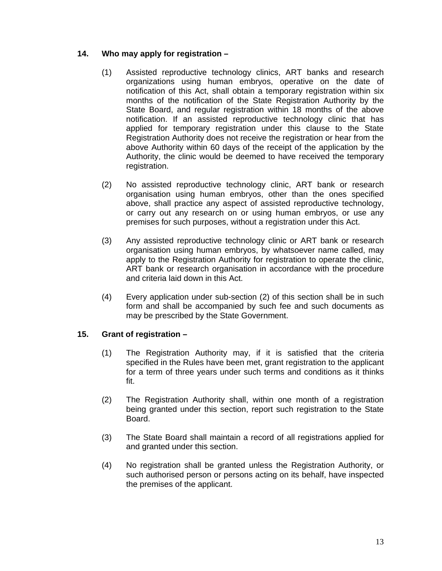### **14. Who may apply for registration –**

- (1) Assisted reproductive technology clinics, ART banks and research organizations using human embryos, operative on the date of notification of this Act, shall obtain a temporary registration within six months of the notification of the State Registration Authority by the State Board, and regular registration within 18 months of the above notification. If an assisted reproductive technology clinic that has applied for temporary registration under this clause to the State Registration Authority does not receive the registration or hear from the above Authority within 60 days of the receipt of the application by the Authority, the clinic would be deemed to have received the temporary registration.
- (2) No assisted reproductive technology clinic, ART bank or research organisation using human embryos, other than the ones specified above, shall practice any aspect of assisted reproductive technology, or carry out any research on or using human embryos, or use any premises for such purposes, without a registration under this Act.
- (3) Any assisted reproductive technology clinic or ART bank or research organisation using human embryos, by whatsoever name called, may apply to the Registration Authority for registration to operate the clinic, ART bank or research organisation in accordance with the procedure and criteria laid down in this Act.
- (4) Every application under sub-section (2) of this section shall be in such form and shall be accompanied by such fee and such documents as may be prescribed by the State Government.

#### **15. Grant of registration –**

- (1) The Registration Authority may, if it is satisfied that the criteria specified in the Rules have been met, grant registration to the applicant for a term of three years under such terms and conditions as it thinks fit.
- (2) The Registration Authority shall, within one month of a registration being granted under this section, report such registration to the State Board.
- (3) The State Board shall maintain a record of all registrations applied for and granted under this section.
- (4) No registration shall be granted unless the Registration Authority, or such authorised person or persons acting on its behalf, have inspected the premises of the applicant.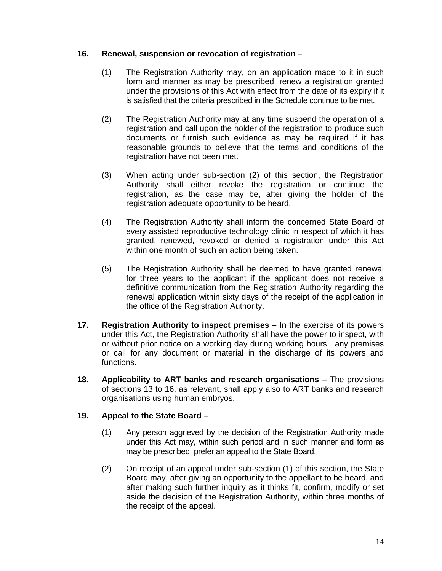### **16. Renewal, suspension or revocation of registration –**

- (1) The Registration Authority may, on an application made to it in such form and manner as may be prescribed, renew a registration granted under the provisions of this Act with effect from the date of its expiry if it is satisfied that the criteria prescribed in the Schedule continue to be met.
- (2) The Registration Authority may at any time suspend the operation of a registration and call upon the holder of the registration to produce such documents or furnish such evidence as may be required if it has reasonable grounds to believe that the terms and conditions of the registration have not been met.
- (3) When acting under sub-section (2) of this section, the Registration Authority shall either revoke the registration or continue the registration, as the case may be, after giving the holder of the registration adequate opportunity to be heard.
- (4) The Registration Authority shall inform the concerned State Board of every assisted reproductive technology clinic in respect of which it has granted, renewed, revoked or denied a registration under this Act within one month of such an action being taken.
- (5) The Registration Authority shall be deemed to have granted renewal for three years to the applicant if the applicant does not receive a definitive communication from the Registration Authority regarding the renewal application within sixty days of the receipt of the application in the office of the Registration Authority.
- **17. Registration Authority to inspect premises** In the exercise of its powers under this Act, the Registration Authority shall have the power to inspect, with or without prior notice on a working day during working hours, any premises or call for any document or material in the discharge of its powers and functions.
- **18. Applicability to ART banks and research organisations** The provisions of sections 13 to 16, as relevant, shall apply also to ART banks and research organisations using human embryos.

### **19. Appeal to the State Board –**

- (1) Any person aggrieved by the decision of the Registration Authority made under this Act may, within such period and in such manner and form as may be prescribed, prefer an appeal to the State Board.
- (2) On receipt of an appeal under sub-section (1) of this section, the State Board may, after giving an opportunity to the appellant to be heard, and after making such further inquiry as it thinks fit, confirm, modify or set aside the decision of the Registration Authority, within three months of the receipt of the appeal.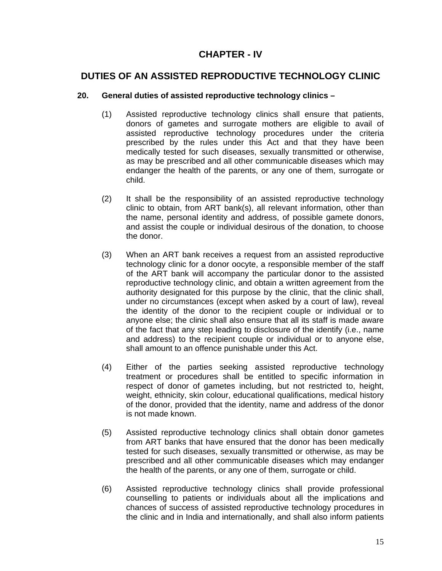## **CHAPTER - IV**

## **DUTIES OF AN ASSISTED REPRODUCTIVE TECHNOLOGY CLINIC**

### **20. General duties of assisted reproductive technology clinics –**

- (1) Assisted reproductive technology clinics shall ensure that patients, donors of gametes and surrogate mothers are eligible to avail of assisted reproductive technology procedures under the criteria prescribed by the rules under this Act and that they have been medically tested for such diseases, sexually transmitted or otherwise, as may be prescribed and all other communicable diseases which may endanger the health of the parents, or any one of them, surrogate or child.
- (2) It shall be the responsibility of an assisted reproductive technology clinic to obtain, from ART bank(s), all relevant information, other than the name, personal identity and address, of possible gamete donors, and assist the couple or individual desirous of the donation, to choose the donor.
- (3) When an ART bank receives a request from an assisted reproductive technology clinic for a donor oocyte, a responsible member of the staff of the ART bank will accompany the particular donor to the assisted reproductive technology clinic, and obtain a written agreement from the authority designated for this purpose by the clinic, that the clinic shall, under no circumstances (except when asked by a court of law), reveal the identity of the donor to the recipient couple or individual or to anyone else; the clinic shall also ensure that all its staff is made aware of the fact that any step leading to disclosure of the identify (i.e., name and address) to the recipient couple or individual or to anyone else, shall amount to an offence punishable under this Act.
- (4) Either of the parties seeking assisted reproductive technology treatment or procedures shall be entitled to specific information in respect of donor of gametes including, but not restricted to, height, weight, ethnicity, skin colour, educational qualifications, medical history of the donor, provided that the identity, name and address of the donor is not made known.
- (5) Assisted reproductive technology clinics shall obtain donor gametes from ART banks that have ensured that the donor has been medically tested for such diseases, sexually transmitted or otherwise, as may be prescribed and all other communicable diseases which may endanger the health of the parents, or any one of them, surrogate or child.
- (6) Assisted reproductive technology clinics shall provide professional counselling to patients or individuals about all the implications and chances of success of assisted reproductive technology procedures in the clinic and in India and internationally, and shall also inform patients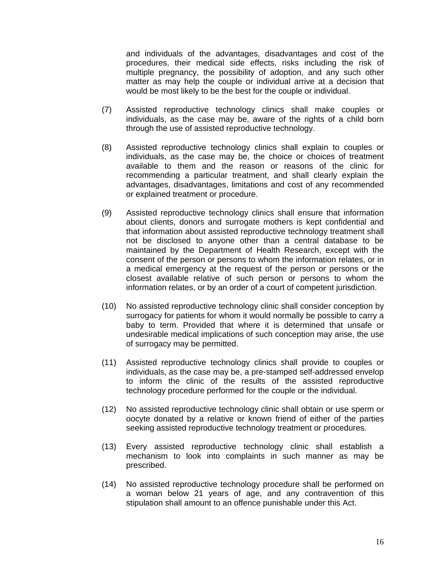and individuals of the advantages, disadvantages and cost of the procedures, their medical side effects, risks including the risk of multiple pregnancy, the possibility of adoption, and any such other matter as may help the couple or individual arrive at a decision that would be most likely to be the best for the couple or individual.

- (7) Assisted reproductive technology clinics shall make couples or individuals, as the case may be, aware of the rights of a child born through the use of assisted reproductive technology.
- (8) Assisted reproductive technology clinics shall explain to couples or individuals, as the case may be, the choice or choices of treatment available to them and the reason or reasons of the clinic for recommending a particular treatment, and shall clearly explain the advantages, disadvantages, limitations and cost of any recommended or explained treatment or procedure.
- (9) Assisted reproductive technology clinics shall ensure that information about clients, donors and surrogate mothers is kept confidential and that information about assisted reproductive technology treatment shall not be disclosed to anyone other than a central database to be maintained by the Department of Health Research, except with the consent of the person or persons to whom the information relates, or in a medical emergency at the request of the person or persons or the closest available relative of such person or persons to whom the information relates, or by an order of a court of competent jurisdiction.
- (10) No assisted reproductive technology clinic shall consider conception by surrogacy for patients for whom it would normally be possible to carry a baby to term. Provided that where it is determined that unsafe or undesirable medical implications of such conception may arise, the use of surrogacy may be permitted.
- (11) Assisted reproductive technology clinics shall provide to couples or individuals, as the case may be, a pre-stamped self-addressed envelop to inform the clinic of the results of the assisted reproductive technology procedure performed for the couple or the individual.
- (12) No assisted reproductive technology clinic shall obtain or use sperm or oocyte donated by a relative or known friend of either of the parties seeking assisted reproductive technology treatment or procedures.
- (13) Every assisted reproductive technology clinic shall establish a mechanism to look into complaints in such manner as may be prescribed.
- (14) No assisted reproductive technology procedure shall be performed on a woman below 21 years of age, and any contravention of this stipulation shall amount to an offence punishable under this Act.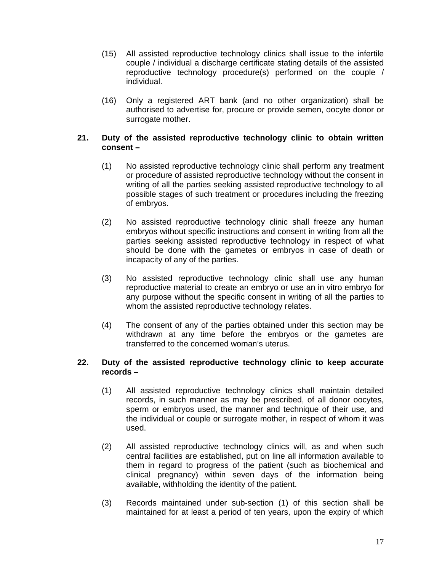- (15) All assisted reproductive technology clinics shall issue to the infertile couple / individual a discharge certificate stating details of the assisted reproductive technology procedure(s) performed on the couple / individual.
- (16) Only a registered ART bank (and no other organization) shall be authorised to advertise for, procure or provide semen, oocyte donor or surrogate mother.

#### **21. Duty of the assisted reproductive technology clinic to obtain written consent –**

- (1) No assisted reproductive technology clinic shall perform any treatment or procedure of assisted reproductive technology without the consent in writing of all the parties seeking assisted reproductive technology to all possible stages of such treatment or procedures including the freezing of embryos.
- (2) No assisted reproductive technology clinic shall freeze any human embryos without specific instructions and consent in writing from all the parties seeking assisted reproductive technology in respect of what should be done with the gametes or embryos in case of death or incapacity of any of the parties.
- (3) No assisted reproductive technology clinic shall use any human reproductive material to create an embryo or use an in vitro embryo for any purpose without the specific consent in writing of all the parties to whom the assisted reproductive technology relates.
- (4) The consent of any of the parties obtained under this section may be withdrawn at any time before the embryos or the gametes are transferred to the concerned woman's uterus.

#### **22. Duty of the assisted reproductive technology clinic to keep accurate records –**

- (1) All assisted reproductive technology clinics shall maintain detailed records, in such manner as may be prescribed, of all donor oocytes, sperm or embryos used, the manner and technique of their use, and the individual or couple or surrogate mother, in respect of whom it was used.
- (2) All assisted reproductive technology clinics will, as and when such central facilities are established, put on line all information available to them in regard to progress of the patient (such as biochemical and clinical pregnancy) within seven days of the information being available, withholding the identity of the patient.
- (3) Records maintained under sub-section (1) of this section shall be maintained for at least a period of ten years, upon the expiry of which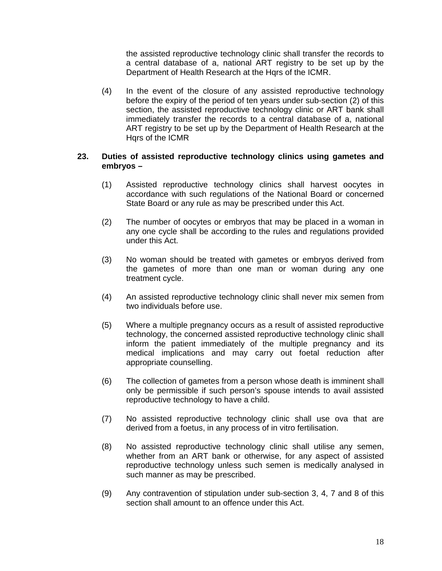the assisted reproductive technology clinic shall transfer the records to a central database of a, national ART registry to be set up by the Department of Health Research at the Hqrs of the ICMR.

(4) In the event of the closure of any assisted reproductive technology before the expiry of the period of ten years under sub-section (2) of this section, the assisted reproductive technology clinic or ART bank shall immediately transfer the records to a central database of a, national ART registry to be set up by the Department of Health Research at the Hqrs of the ICMR

#### **23. Duties of assisted reproductive technology clinics using gametes and embryos –**

- (1) Assisted reproductive technology clinics shall harvest oocytes in accordance with such regulations of the National Board or concerned State Board or any rule as may be prescribed under this Act.
- (2) The number of oocytes or embryos that may be placed in a woman in any one cycle shall be according to the rules and regulations provided under this Act.
- (3) No woman should be treated with gametes or embryos derived from the gametes of more than one man or woman during any one treatment cycle.
- (4) An assisted reproductive technology clinic shall never mix semen from two individuals before use.
- (5) Where a multiple pregnancy occurs as a result of assisted reproductive technology, the concerned assisted reproductive technology clinic shall inform the patient immediately of the multiple pregnancy and its medical implications and may carry out foetal reduction after appropriate counselling.
- (6) The collection of gametes from a person whose death is imminent shall only be permissible if such person's spouse intends to avail assisted reproductive technology to have a child.
- (7) No assisted reproductive technology clinic shall use ova that are derived from a foetus, in any process of in vitro fertilisation.
- (8) No assisted reproductive technology clinic shall utilise any semen, whether from an ART bank or otherwise, for any aspect of assisted reproductive technology unless such semen is medically analysed in such manner as may be prescribed.
- (9) Any contravention of stipulation under sub-section 3, 4, 7 and 8 of this section shall amount to an offence under this Act.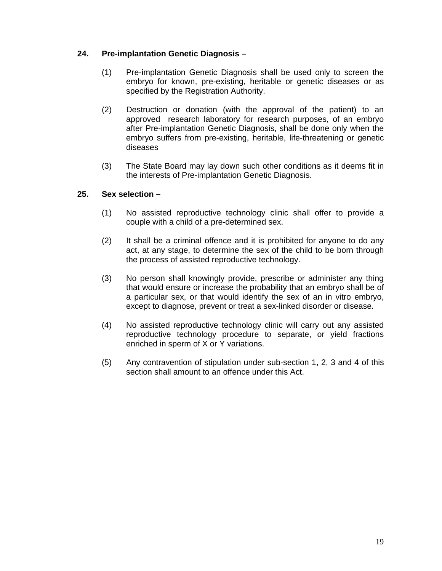### **24. Pre-implantation Genetic Diagnosis –**

- (1) Pre-implantation Genetic Diagnosis shall be used only to screen the embryo for known, pre-existing, heritable or genetic diseases or as specified by the Registration Authority.
- (2) Destruction or donation (with the approval of the patient) to an approved research laboratory for research purposes, of an embryo after Pre-implantation Genetic Diagnosis, shall be done only when the embryo suffers from pre-existing, heritable, life-threatening or genetic diseases
- (3) The State Board may lay down such other conditions as it deems fit in the interests of Pre-implantation Genetic Diagnosis.

#### **25. Sex selection –**

- (1) No assisted reproductive technology clinic shall offer to provide a couple with a child of a pre-determined sex.
- (2) It shall be a criminal offence and it is prohibited for anyone to do any act, at any stage, to determine the sex of the child to be born through the process of assisted reproductive technology.
- (3) No person shall knowingly provide, prescribe or administer any thing that would ensure or increase the probability that an embryo shall be of a particular sex, or that would identify the sex of an in vitro embryo, except to diagnose, prevent or treat a sex-linked disorder or disease.
- (4) No assisted reproductive technology clinic will carry out any assisted reproductive technology procedure to separate, or yield fractions enriched in sperm of X or Y variations.
- (5) Any contravention of stipulation under sub-section 1, 2, 3 and 4 of this section shall amount to an offence under this Act.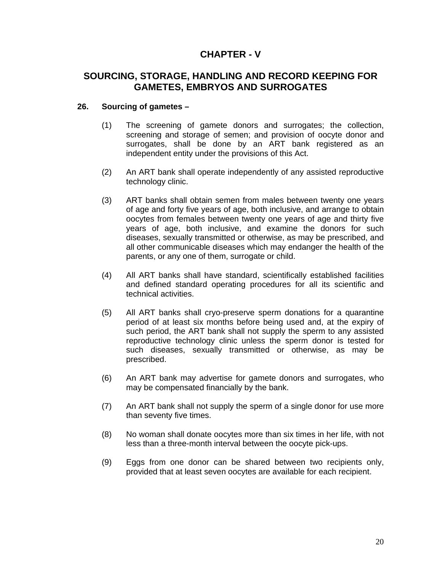## **CHAPTER - V**

### **SOURCING, STORAGE, HANDLING AND RECORD KEEPING FOR GAMETES, EMBRYOS AND SURROGATES**

### **26. Sourcing of gametes –**

- (1) The screening of gamete donors and surrogates; the collection, screening and storage of semen; and provision of oocyte donor and surrogates, shall be done by an ART bank registered as an independent entity under the provisions of this Act.
- (2) An ART bank shall operate independently of any assisted reproductive technology clinic.
- (3) ART banks shall obtain semen from males between twenty one years of age and forty five years of age, both inclusive, and arrange to obtain oocytes from females between twenty one years of age and thirty five years of age, both inclusive, and examine the donors for such diseases, sexually transmitted or otherwise, as may be prescribed, and all other communicable diseases which may endanger the health of the parents, or any one of them, surrogate or child.
- (4) All ART banks shall have standard, scientifically established facilities and defined standard operating procedures for all its scientific and technical activities.
- (5) All ART banks shall cryo-preserve sperm donations for a quarantine period of at least six months before being used and, at the expiry of such period, the ART bank shall not supply the sperm to any assisted reproductive technology clinic unless the sperm donor is tested for such diseases, sexually transmitted or otherwise, as may be prescribed.
- (6) An ART bank may advertise for gamete donors and surrogates, who may be compensated financially by the bank.
- (7) An ART bank shall not supply the sperm of a single donor for use more than seventy five times.
- (8) No woman shall donate oocytes more than six times in her life, with not less than a three-month interval between the oocyte pick-ups.
- (9) Eggs from one donor can be shared between two recipients only, provided that at least seven oocytes are available for each recipient.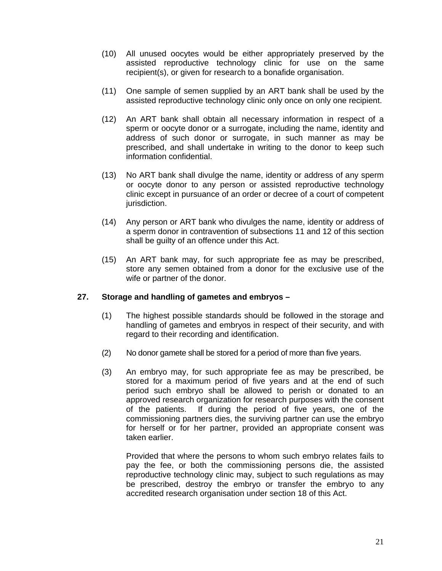- (10) All unused oocytes would be either appropriately preserved by the assisted reproductive technology clinic for use on the same recipient(s), or given for research to a bonafide organisation.
- (11) One sample of semen supplied by an ART bank shall be used by the assisted reproductive technology clinic only once on only one recipient.
- (12) An ART bank shall obtain all necessary information in respect of a sperm or oocyte donor or a surrogate, including the name, identity and address of such donor or surrogate, in such manner as may be prescribed, and shall undertake in writing to the donor to keep such information confidential.
- (13) No ART bank shall divulge the name, identity or address of any sperm or oocyte donor to any person or assisted reproductive technology clinic except in pursuance of an order or decree of a court of competent jurisdiction.
- (14) Any person or ART bank who divulges the name, identity or address of a sperm donor in contravention of subsections 11 and 12 of this section shall be guilty of an offence under this Act.
- (15) An ART bank may, for such appropriate fee as may be prescribed, store any semen obtained from a donor for the exclusive use of the wife or partner of the donor.

#### **27. Storage and handling of gametes and embryos –**

- (1) The highest possible standards should be followed in the storage and handling of gametes and embryos in respect of their security, and with regard to their recording and identification.
- (2) No donor gamete shall be stored for a period of more than five years.
- (3) An embryo may, for such appropriate fee as may be prescribed, be stored for a maximum period of five years and at the end of such period such embryo shall be allowed to perish or donated to an approved research organization for research purposes with the consent of the patients. If during the period of five years, one of the commissioning partners dies, the surviving partner can use the embryo for herself or for her partner, provided an appropriate consent was taken earlier.

Provided that where the persons to whom such embryo relates fails to pay the fee, or both the commissioning persons die, the assisted reproductive technology clinic may, subject to such regulations as may be prescribed, destroy the embryo or transfer the embryo to any accredited research organisation under section 18 of this Act.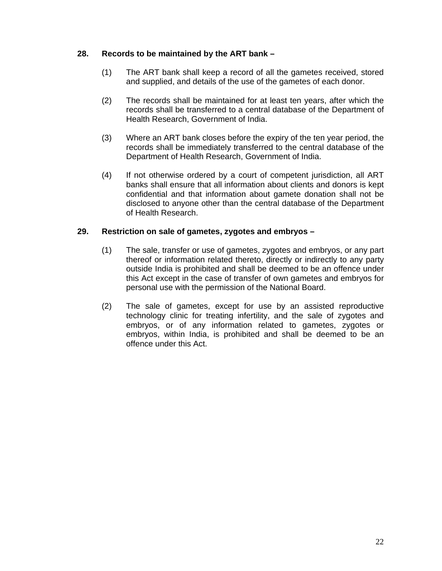### **28. Records to be maintained by the ART bank –**

- (1) The ART bank shall keep a record of all the gametes received, stored and supplied, and details of the use of the gametes of each donor.
- (2) The records shall be maintained for at least ten years, after which the records shall be transferred to a central database of the Department of Health Research, Government of India.
- (3) Where an ART bank closes before the expiry of the ten year period, the records shall be immediately transferred to the central database of the Department of Health Research, Government of India.
- (4) If not otherwise ordered by a court of competent jurisdiction, all ART banks shall ensure that all information about clients and donors is kept confidential and that information about gamete donation shall not be disclosed to anyone other than the central database of the Department of Health Research.

### **29. Restriction on sale of gametes, zygotes and embryos –**

- (1) The sale, transfer or use of gametes, zygotes and embryos, or any part thereof or information related thereto, directly or indirectly to any party outside India is prohibited and shall be deemed to be an offence under this Act except in the case of transfer of own gametes and embryos for personal use with the permission of the National Board.
- (2) The sale of gametes, except for use by an assisted reproductive technology clinic for treating infertility, and the sale of zygotes and embryos, or of any information related to gametes, zygotes or embryos, within India, is prohibited and shall be deemed to be an offence under this Act.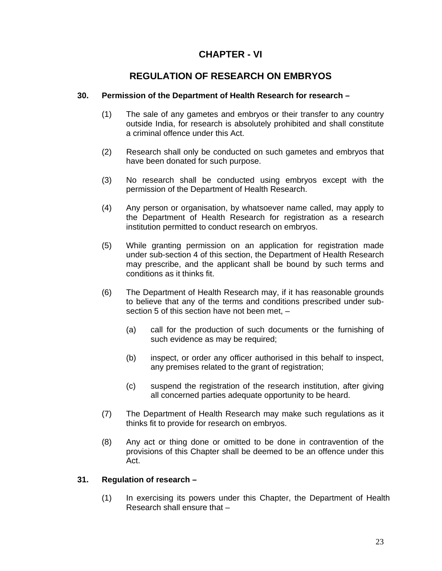## **CHAPTER - VI**

## **REGULATION OF RESEARCH ON EMBRYOS**

### **30. Permission of the Department of Health Research for research –**

- (1) The sale of any gametes and embryos or their transfer to any country outside India, for research is absolutely prohibited and shall constitute a criminal offence under this Act.
- (2) Research shall only be conducted on such gametes and embryos that have been donated for such purpose.
- (3) No research shall be conducted using embryos except with the permission of the Department of Health Research.
- (4) Any person or organisation, by whatsoever name called, may apply to the Department of Health Research for registration as a research institution permitted to conduct research on embryos.
- (5) While granting permission on an application for registration made under sub-section 4 of this section, the Department of Health Research may prescribe, and the applicant shall be bound by such terms and conditions as it thinks fit.
- (6) The Department of Health Research may, if it has reasonable grounds to believe that any of the terms and conditions prescribed under subsection 5 of this section have not been met, –
	- (a) call for the production of such documents or the furnishing of such evidence as may be required;
	- (b) inspect, or order any officer authorised in this behalf to inspect, any premises related to the grant of registration;
	- (c) suspend the registration of the research institution, after giving all concerned parties adequate opportunity to be heard.
- (7) The Department of Health Research may make such regulations as it thinks fit to provide for research on embryos.
- (8) Any act or thing done or omitted to be done in contravention of the provisions of this Chapter shall be deemed to be an offence under this Act.

#### **31. Regulation of research –**

(1) In exercising its powers under this Chapter, the Department of Health Research shall ensure that –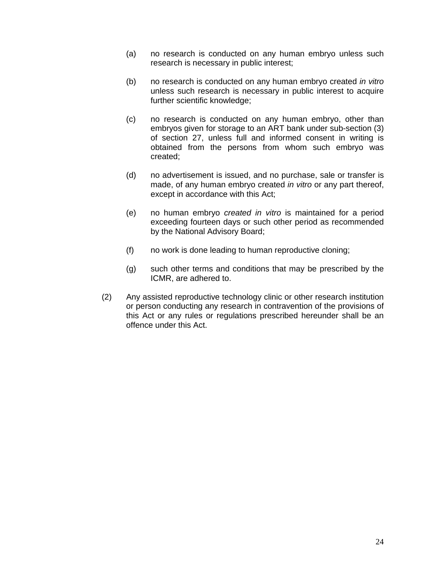- (a) no research is conducted on any human embryo unless such research is necessary in public interest;
- (b) no research is conducted on any human embryo created *in vitro* unless such research is necessary in public interest to acquire further scientific knowledge;
- (c) no research is conducted on any human embryo, other than embryos given for storage to an ART bank under sub-section (3) of section 27, unless full and informed consent in writing is obtained from the persons from whom such embryo was created;
- (d) no advertisement is issued, and no purchase, sale or transfer is made, of any human embryo created *in vitro* or any part thereof, except in accordance with this Act;
- (e) no human embryo *created in vitro* is maintained for a period exceeding fourteen days or such other period as recommended by the National Advisory Board;
- (f) no work is done leading to human reproductive cloning;
- (g) such other terms and conditions that may be prescribed by the ICMR, are adhered to.
- (2) Any assisted reproductive technology clinic or other research institution or person conducting any research in contravention of the provisions of this Act or any rules or regulations prescribed hereunder shall be an offence under this Act.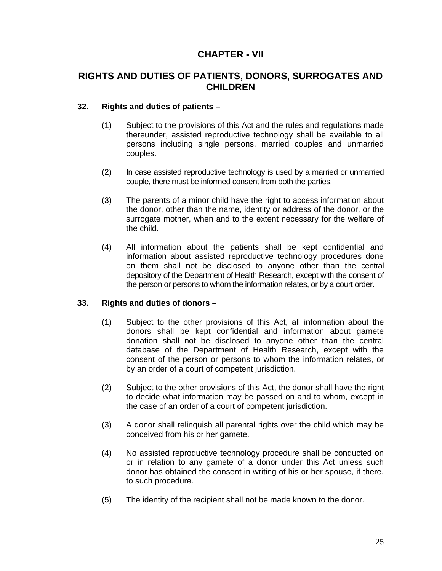## **CHAPTER - VII**

### **RIGHTS AND DUTIES OF PATIENTS, DONORS, SURROGATES AND CHILDREN**

### **32. Rights and duties of patients –**

- (1) Subject to the provisions of this Act and the rules and regulations made thereunder, assisted reproductive technology shall be available to all persons including single persons, married couples and unmarried couples.
- (2) In case assisted reproductive technology is used by a married or unmarried couple, there must be informed consent from both the parties.
- (3) The parents of a minor child have the right to access information about the donor, other than the name, identity or address of the donor, or the surrogate mother, when and to the extent necessary for the welfare of the child.
- (4) All information about the patients shall be kept confidential and information about assisted reproductive technology procedures done on them shall not be disclosed to anyone other than the central depository of the Department of Health Research, except with the consent of the person or persons to whom the information relates, or by a court order.

#### **33. Rights and duties of donors –**

- (1) Subject to the other provisions of this Act, all information about the donors shall be kept confidential and information about gamete donation shall not be disclosed to anyone other than the central database of the Department of Health Research, except with the consent of the person or persons to whom the information relates, or by an order of a court of competent jurisdiction.
- (2) Subject to the other provisions of this Act, the donor shall have the right to decide what information may be passed on and to whom, except in the case of an order of a court of competent jurisdiction.
- (3) A donor shall relinquish all parental rights over the child which may be conceived from his or her gamete.
- (4) No assisted reproductive technology procedure shall be conducted on or in relation to any gamete of a donor under this Act unless such donor has obtained the consent in writing of his or her spouse, if there, to such procedure.
- (5) The identity of the recipient shall not be made known to the donor.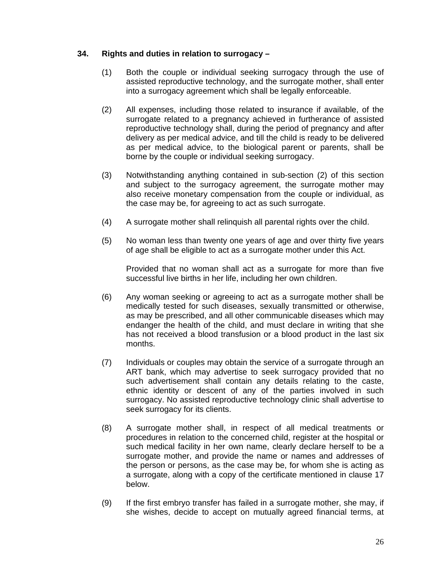### **34. Rights and duties in relation to surrogacy –**

- (1) Both the couple or individual seeking surrogacy through the use of assisted reproductive technology, and the surrogate mother, shall enter into a surrogacy agreement which shall be legally enforceable.
- (2) All expenses, including those related to insurance if available, of the surrogate related to a pregnancy achieved in furtherance of assisted reproductive technology shall, during the period of pregnancy and after delivery as per medical advice, and till the child is ready to be delivered as per medical advice, to the biological parent or parents, shall be borne by the couple or individual seeking surrogacy.
- (3) Notwithstanding anything contained in sub-section (2) of this section and subject to the surrogacy agreement, the surrogate mother may also receive monetary compensation from the couple or individual, as the case may be, for agreeing to act as such surrogate.
- (4) A surrogate mother shall relinquish all parental rights over the child.
- (5) No woman less than twenty one years of age and over thirty five years of age shall be eligible to act as a surrogate mother under this Act.

Provided that no woman shall act as a surrogate for more than five successful live births in her life, including her own children.

- (6) Any woman seeking or agreeing to act as a surrogate mother shall be medically tested for such diseases, sexually transmitted or otherwise, as may be prescribed, and all other communicable diseases which may endanger the health of the child, and must declare in writing that she has not received a blood transfusion or a blood product in the last six months.
- (7) Individuals or couples may obtain the service of a surrogate through an ART bank, which may advertise to seek surrogacy provided that no such advertisement shall contain any details relating to the caste, ethnic identity or descent of any of the parties involved in such surrogacy. No assisted reproductive technology clinic shall advertise to seek surrogacy for its clients.
- (8) A surrogate mother shall, in respect of all medical treatments or procedures in relation to the concerned child, register at the hospital or such medical facility in her own name, clearly declare herself to be a surrogate mother, and provide the name or names and addresses of the person or persons, as the case may be, for whom she is acting as a surrogate, along with a copy of the certificate mentioned in clause 17 below.
- (9) If the first embryo transfer has failed in a surrogate mother, she may, if she wishes, decide to accept on mutually agreed financial terms, at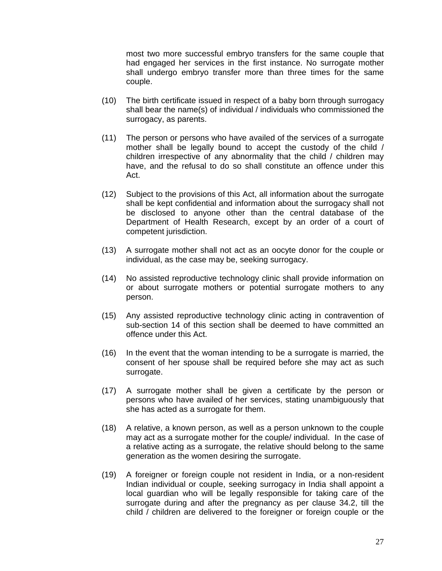most two more successful embryo transfers for the same couple that had engaged her services in the first instance. No surrogate mother shall undergo embryo transfer more than three times for the same couple.

- (10) The birth certificate issued in respect of a baby born through surrogacy shall bear the name(s) of individual / individuals who commissioned the surrogacy, as parents.
- (11) The person or persons who have availed of the services of a surrogate mother shall be legally bound to accept the custody of the child / children irrespective of any abnormality that the child / children may have, and the refusal to do so shall constitute an offence under this Act.
- (12) Subject to the provisions of this Act, all information about the surrogate shall be kept confidential and information about the surrogacy shall not be disclosed to anyone other than the central database of the Department of Health Research, except by an order of a court of competent jurisdiction.
- (13) A surrogate mother shall not act as an oocyte donor for the couple or individual, as the case may be, seeking surrogacy.
- (14) No assisted reproductive technology clinic shall provide information on or about surrogate mothers or potential surrogate mothers to any person.
- (15) Any assisted reproductive technology clinic acting in contravention of sub-section 14 of this section shall be deemed to have committed an offence under this Act.
- (16) In the event that the woman intending to be a surrogate is married, the consent of her spouse shall be required before she may act as such surrogate.
- (17) A surrogate mother shall be given a certificate by the person or persons who have availed of her services, stating unambiguously that she has acted as a surrogate for them.
- (18) A relative, a known person, as well as a person unknown to the couple may act as a surrogate mother for the couple/ individual. In the case of a relative acting as a surrogate, the relative should belong to the same generation as the women desiring the surrogate.
- (19) A foreigner or foreign couple not resident in India, or a non-resident Indian individual or couple, seeking surrogacy in India shall appoint a local guardian who will be legally responsible for taking care of the surrogate during and after the pregnancy as per clause 34.2, till the child / children are delivered to the foreigner or foreign couple or the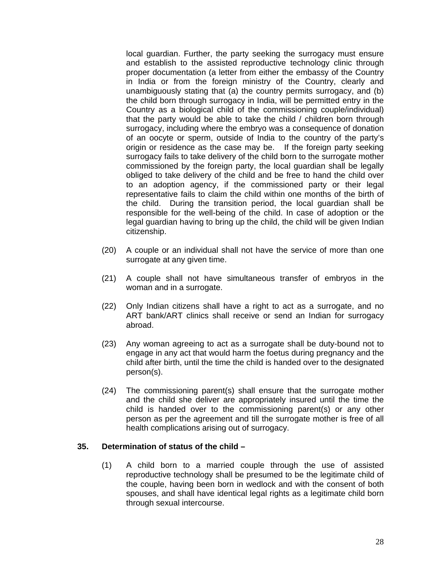local guardian. Further, the party seeking the surrogacy must ensure and establish to the assisted reproductive technology clinic through proper documentation (a letter from either the embassy of the Country in India or from the foreign ministry of the Country, clearly and unambiguously stating that (a) the country permits surrogacy, and (b) the child born through surrogacy in India, will be permitted entry in the Country as a biological child of the commissioning couple/individual) that the party would be able to take the child / children born through surrogacy, including where the embryo was a consequence of donation of an oocyte or sperm, outside of India to the country of the party's origin or residence as the case may be. If the foreign party seeking surrogacy fails to take delivery of the child born to the surrogate mother commissioned by the foreign party, the local guardian shall be legally obliged to take delivery of the child and be free to hand the child over to an adoption agency, if the commissioned party or their legal representative fails to claim the child within one months of the birth of the child. During the transition period, the local guardian shall be responsible for the well-being of the child. In case of adoption or the legal guardian having to bring up the child, the child will be given Indian citizenship.

- (20) A couple or an individual shall not have the service of more than one surrogate at any given time.
- (21) A couple shall not have simultaneous transfer of embryos in the woman and in a surrogate.
- (22) Only Indian citizens shall have a right to act as a surrogate, and no ART bank/ART clinics shall receive or send an Indian for surrogacy abroad.
- (23) Any woman agreeing to act as a surrogate shall be duty-bound not to engage in any act that would harm the foetus during pregnancy and the child after birth, until the time the child is handed over to the designated person(s).
- (24) The commissioning parent(s) shall ensure that the surrogate mother and the child she deliver are appropriately insured until the time the child is handed over to the commissioning parent(s) or any other person as per the agreement and till the surrogate mother is free of all health complications arising out of surrogacy.

#### **35. Determination of status of the child –**

(1) A child born to a married couple through the use of assisted reproductive technology shall be presumed to be the legitimate child of the couple, having been born in wedlock and with the consent of both spouses, and shall have identical legal rights as a legitimate child born through sexual intercourse.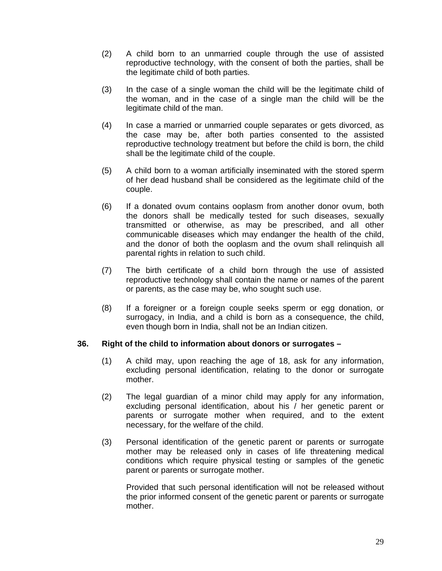- (2) A child born to an unmarried couple through the use of assisted reproductive technology, with the consent of both the parties, shall be the legitimate child of both parties.
- (3) In the case of a single woman the child will be the legitimate child of the woman, and in the case of a single man the child will be the legitimate child of the man.
- (4) In case a married or unmarried couple separates or gets divorced, as the case may be, after both parties consented to the assisted reproductive technology treatment but before the child is born, the child shall be the legitimate child of the couple.
- (5) A child born to a woman artificially inseminated with the stored sperm of her dead husband shall be considered as the legitimate child of the couple.
- (6) If a donated ovum contains ooplasm from another donor ovum, both the donors shall be medically tested for such diseases, sexually transmitted or otherwise, as may be prescribed, and all other communicable diseases which may endanger the health of the child, and the donor of both the ooplasm and the ovum shall relinquish all parental rights in relation to such child.
- (7) The birth certificate of a child born through the use of assisted reproductive technology shall contain the name or names of the parent or parents, as the case may be, who sought such use.
- (8) If a foreigner or a foreign couple seeks sperm or egg donation, or surrogacy, in India, and a child is born as a consequence, the child, even though born in India, shall not be an Indian citizen.

#### **36. Right of the child to information about donors or surrogates –**

- (1) A child may, upon reaching the age of 18, ask for any information, excluding personal identification, relating to the donor or surrogate mother.
- (2) The legal guardian of a minor child may apply for any information, excluding personal identification, about his / her genetic parent or parents or surrogate mother when required, and to the extent necessary, for the welfare of the child.
- (3) Personal identification of the genetic parent or parents or surrogate mother may be released only in cases of life threatening medical conditions which require physical testing or samples of the genetic parent or parents or surrogate mother.

Provided that such personal identification will not be released without the prior informed consent of the genetic parent or parents or surrogate mother.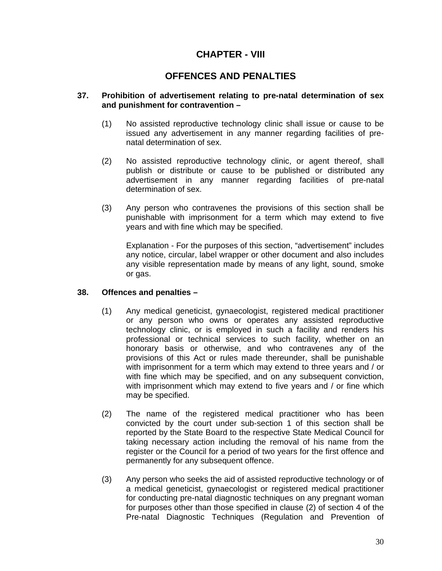## **CHAPTER - VIII**

### **OFFENCES AND PENALTIES**

#### **37. Prohibition of advertisement relating to pre-natal determination of sex and punishment for contravention –**

- (1) No assisted reproductive technology clinic shall issue or cause to be issued any advertisement in any manner regarding facilities of prenatal determination of sex.
- (2) No assisted reproductive technology clinic, or agent thereof, shall publish or distribute or cause to be published or distributed any advertisement in any manner regarding facilities of pre-natal determination of sex.
- (3) Any person who contravenes the provisions of this section shall be punishable with imprisonment for a term which may extend to five years and with fine which may be specified.

Explanation - For the purposes of this section, "advertisement" includes any notice, circular, label wrapper or other document and also includes any visible representation made by means of any light, sound, smoke or gas.

#### **38. Offences and penalties –**

- (1) Any medical geneticist, gynaecologist, registered medical practitioner or any person who owns or operates any assisted reproductive technology clinic, or is employed in such a facility and renders his professional or technical services to such facility, whether on an honorary basis or otherwise, and who contravenes any of the provisions of this Act or rules made thereunder, shall be punishable with imprisonment for a term which may extend to three years and / or with fine which may be specified, and on any subsequent conviction, with imprisonment which may extend to five years and / or fine which may be specified.
- (2) The name of the registered medical practitioner who has been convicted by the court under sub-section 1 of this section shall be reported by the State Board to the respective State Medical Council for taking necessary action including the removal of his name from the register or the Council for a period of two years for the first offence and permanently for any subsequent offence.
- (3) Any person who seeks the aid of assisted reproductive technology or of a medical geneticist, gynaecologist or registered medical practitioner for conducting pre-natal diagnostic techniques on any pregnant woman for purposes other than those specified in clause (2) of section 4 of the Pre-natal Diagnostic Techniques (Regulation and Prevention of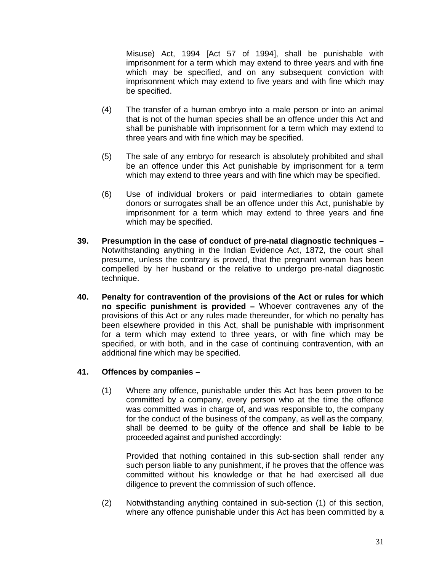Misuse) Act, 1994 [Act 57 of 1994], shall be punishable with imprisonment for a term which may extend to three years and with fine which may be specified, and on any subsequent conviction with imprisonment which may extend to five years and with fine which may be specified.

- (4) The transfer of a human embryo into a male person or into an animal that is not of the human species shall be an offence under this Act and shall be punishable with imprisonment for a term which may extend to three years and with fine which may be specified.
- (5) The sale of any embryo for research is absolutely prohibited and shall be an offence under this Act punishable by imprisonment for a term which may extend to three years and with fine which may be specified.
- (6) Use of individual brokers or paid intermediaries to obtain gamete donors or surrogates shall be an offence under this Act, punishable by imprisonment for a term which may extend to three years and fine which may be specified.
- **39. Presumption in the case of conduct of pre-natal diagnostic techniques**  Notwithstanding anything in the Indian Evidence Act, 1872, the court shall presume, unless the contrary is proved, that the pregnant woman has been compelled by her husband or the relative to undergo pre-natal diagnostic technique.
- **40. Penalty for contravention of the provisions of the Act or rules for which no specific punishment is provided –** Whoever contravenes any of the provisions of this Act or any rules made thereunder, for which no penalty has been elsewhere provided in this Act, shall be punishable with imprisonment for a term which may extend to three years, or with fine which may be specified, or with both, and in the case of continuing contravention, with an additional fine which may be specified.

#### **41. Offences by companies –**

(1) Where any offence, punishable under this Act has been proven to be committed by a company, every person who at the time the offence was committed was in charge of, and was responsible to, the company for the conduct of the business of the company, as well as the company, shall be deemed to be guilty of the offence and shall be liable to be proceeded against and punished accordingly:

Provided that nothing contained in this sub-section shall render any such person liable to any punishment, if he proves that the offence was committed without his knowledge or that he had exercised all due diligence to prevent the commission of such offence.

(2) Notwithstanding anything contained in sub-section (1) of this section, where any offence punishable under this Act has been committed by a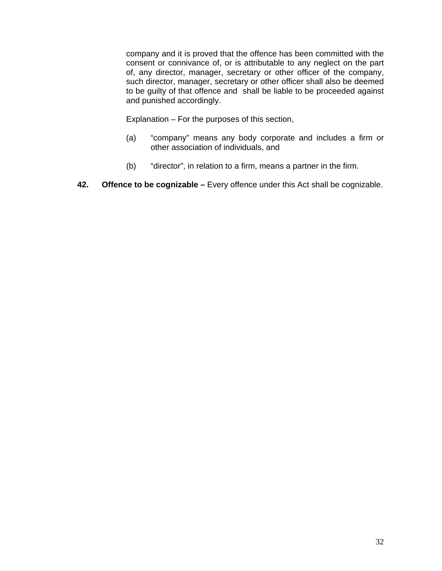company and it is proved that the offence has been committed with the consent or connivance of, or is attributable to any neglect on the part of, any director, manager, secretary or other officer of the company, such director, manager, secretary or other officer shall also be deemed to be guilty of that offence and shall be liable to be proceeded against and punished accordingly.

Explanation – For the purposes of this section,

- (a) "company" means any body corporate and includes a firm or other association of individuals, and
- (b) "director", in relation to a firm, means a partner in the firm.
- **42. Offence to be cognizable** Every offence under this Act shall be cognizable.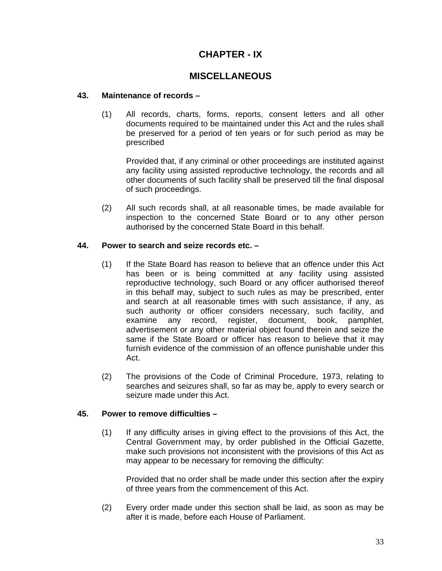## **CHAPTER - IX**

### **MISCELLANEOUS**

#### **43. Maintenance of records –**

(1) All records, charts, forms, reports, consent letters and all other documents required to be maintained under this Act and the rules shall be preserved for a period of ten years or for such period as may be prescribed

Provided that, if any criminal or other proceedings are instituted against any facility using assisted reproductive technology, the records and all other documents of such facility shall be preserved till the final disposal of such proceedings.

(2) All such records shall, at all reasonable times, be made available for inspection to the concerned State Board or to any other person authorised by the concerned State Board in this behalf.

#### **44. Power to search and seize records etc. –**

- (1) If the State Board has reason to believe that an offence under this Act has been or is being committed at any facility using assisted reproductive technology, such Board or any officer authorised thereof in this behalf may, subject to such rules as may be prescribed, enter and search at all reasonable times with such assistance, if any, as such authority or officer considers necessary, such facility, and examine any record, register, document, book, pamphlet, advertisement or any other material object found therein and seize the same if the State Board or officer has reason to believe that it may furnish evidence of the commission of an offence punishable under this Act.
- (2) The provisions of the Code of Criminal Procedure, 1973, relating to searches and seizures shall, so far as may be, apply to every search or seizure made under this Act.

#### **45. Power to remove difficulties –**

(1) If any difficulty arises in giving effect to the provisions of this Act, the Central Government may, by order published in the Official Gazette, make such provisions not inconsistent with the provisions of this Act as may appear to be necessary for removing the difficulty:

Provided that no order shall be made under this section after the expiry of three years from the commencement of this Act.

(2) Every order made under this section shall be laid, as soon as may be after it is made, before each House of Parliament.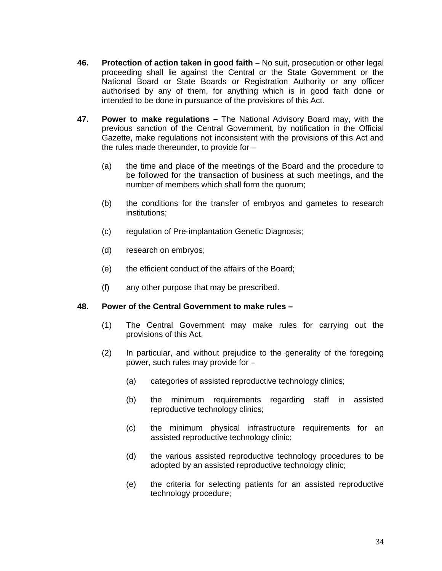- **46. Protection of action taken in good faith –** No suit, prosecution or other legal proceeding shall lie against the Central or the State Government or the National Board or State Boards or Registration Authority or any officer authorised by any of them, for anything which is in good faith done or intended to be done in pursuance of the provisions of this Act.
- **47. Power to make regulations –** The National Advisory Board may, with the previous sanction of the Central Government, by notification in the Official Gazette, make regulations not inconsistent with the provisions of this Act and the rules made thereunder, to provide for –
	- (a) the time and place of the meetings of the Board and the procedure to be followed for the transaction of business at such meetings, and the number of members which shall form the quorum;
	- (b) the conditions for the transfer of embryos and gametes to research institutions;
	- (c) regulation of Pre-implantation Genetic Diagnosis;
	- (d) research on embryos;
	- (e) the efficient conduct of the affairs of the Board;
	- (f) any other purpose that may be prescribed.

#### **48. Power of the Central Government to make rules –**

- (1) The Central Government may make rules for carrying out the provisions of this Act.
- (2) In particular, and without prejudice to the generality of the foregoing power, such rules may provide for –
	- (a) categories of assisted reproductive technology clinics;
	- (b) the minimum requirements regarding staff in assisted reproductive technology clinics;
	- (c) the minimum physical infrastructure requirements for an assisted reproductive technology clinic;
	- (d) the various assisted reproductive technology procedures to be adopted by an assisted reproductive technology clinic;
	- (e) the criteria for selecting patients for an assisted reproductive technology procedure;